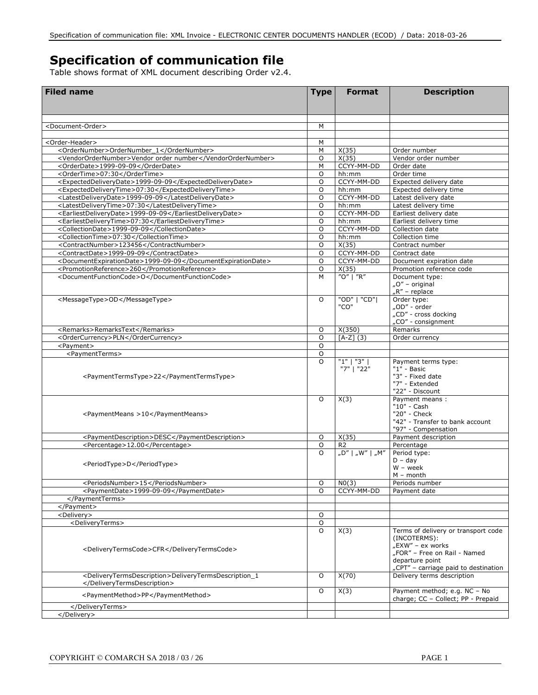## **Specification of communication file**

Table shows format of XML document describing Order v2.4.

| <b>Filed name</b>                                                                 | <b>Type</b>    | <b>Format</b>         | <b>Description</b>                   |
|-----------------------------------------------------------------------------------|----------------|-----------------------|--------------------------------------|
|                                                                                   |                |                       |                                      |
| <document-order></document-order>                                                 | M              |                       |                                      |
|                                                                                   |                |                       |                                      |
| <order-header></order-header>                                                     | м              |                       |                                      |
| <ordernumber>OrderNumber_1</ordernumber>                                          | М              | $\overline{X(35)}$    | Order number                         |
| <vendorordernumber>Vendor order number</vendorordernumber>                        | O              | X(35)                 | Vendor order number                  |
| <orderdate>1999-09-09</orderdate>                                                 | M              | CCYY-MM-DD            | Order date                           |
| <ordertime>07:30</ordertime>                                                      | O              | hh:mm                 | Order time                           |
| <expecteddeliverydate>1999-09-09</expecteddeliverydate>                           | $\circ$        | CCYY-MM-DD            | Expected delivery date               |
| <expecteddeliverytime>07:30</expecteddeliverytime>                                | O              | hh:mm                 | Expected delivery time               |
| <latestdeliverydate>1999-09-09</latestdeliverydate>                               | $\circ$        | CCYY-MM-DD            | Latest delivery date                 |
| <latestdeliverytime>07:30</latestdeliverytime>                                    | O              | hh:mm                 | Latest delivery time                 |
| <earliestdeliverydate>1999-09-09</earliestdeliverydate>                           | $\circ$        | CCYY-MM-DD            | Earliest delivery date               |
| <earliestdeliverytime>07:30</earliestdeliverytime>                                | O              | hh:mm                 | Earliest delivery time               |
| <collectiondate>1999-09-09</collectiondate>                                       | $\circ$        | CCYY-MM-DD            | Collection date                      |
| <collectiontime>07:30</collectiontime><br><contractnumber>123456</contractnumber> | O<br>O         | hh:mm<br>X(35)        | Collection time<br>Contract number   |
| <contractdate>1999-09-09</contractdate>                                           | O              | CCYY-MM-DD            | Contract date                        |
| <documentexpirationdate>1999-09-09</documentexpirationdate>                       | $\circ$        | CCYY-MM-DD            | Document expiration date             |
| <promotionreference>260</promotionreference>                                      | $\overline{O}$ | X(35)                 | Promotion reference code             |
| <documentfunctioncode>O</documentfunctioncode>                                    | M              | "O"   "R"             | Document type:                       |
|                                                                                   |                |                       | "O" - original                       |
|                                                                                   |                |                       | $nR''$ – replace                     |
| <messagetype>OD</messagetype>                                                     | O              | "OD"   "CD"           | Order type:                          |
|                                                                                   |                | "CO"                  | "OD" - order                         |
|                                                                                   |                |                       | "CD" - cross docking                 |
|                                                                                   |                |                       | "CO" - consignment                   |
| <remarks>RemarksText</remarks>                                                    | O              | X(350)                | Remarks                              |
| <ordercurrency>PLN</ordercurrency>                                                | 0              | $[A-Z]$ (3)           | Order currency                       |
| <payment></payment>                                                               | O              |                       |                                      |
| <paymentterms></paymentterms>                                                     | O              |                       |                                      |
|                                                                                   | $\Omega$       | "1"   "3"             | Payment terms type:                  |
|                                                                                   |                | "7"   "22"            | $"1" - Basic$                        |
| <paymenttermstype>22</paymenttermstype>                                           |                |                       | "3" - Fixed date<br>"7" - Extended   |
|                                                                                   |                |                       | "22" - Discount                      |
|                                                                                   | O              | X(3)                  | Payment means:                       |
|                                                                                   |                |                       | "10" - Cash                          |
| <paymentmeans>10</paymentmeans>                                                   |                |                       | "20" - Check                         |
|                                                                                   |                |                       | "42" - Transfer to bank account      |
|                                                                                   |                |                       | "97" - Compensation                  |
| <paymentdescription>DESC</paymentdescription>                                     | O              | X(35)                 | Payment description                  |
| <percentage>12.00</percentage>                                                    | O              | R <sub>2</sub>        | Percentage                           |
|                                                                                   | $\Omega$       | n D''   n W''   n M'' | Period type:                         |
| <periodtype>D</periodtype>                                                        |                |                       | $D - day$                            |
|                                                                                   |                |                       | $W - week$                           |
|                                                                                   |                |                       | $M -$ month                          |
| <periodsnumber>15</periodsnumber><br><paymentdate>1999-09-09</paymentdate>        | O<br>$\Omega$  | N0(3)<br>CCYY-MM-DD   | Periods number<br>Payment date       |
|                                                                                   |                |                       |                                      |
|                                                                                   |                |                       |                                      |
| <delivery></delivery>                                                             | O              |                       |                                      |
| <deliveryterms></deliveryterms>                                                   | O              |                       |                                      |
|                                                                                   | O              | X(3)                  | Terms of delivery or transport code  |
|                                                                                   |                |                       | (INCOTERMS):                         |
|                                                                                   |                |                       | "EXW" - ex works                     |
| <deliverytermscode>CFR</deliverytermscode>                                        |                |                       | "FOR" - Free on Rail - Named         |
|                                                                                   |                |                       | departure point                      |
|                                                                                   |                |                       | "CPT" - carriage paid to destination |
| <deliverytermsdescription>DeliveryTermsDescription_1</deliverytermsdescription>   | O              | X(70)                 | Delivery terms description           |
|                                                                                   |                |                       |                                      |
| <paymentmethod>PP</paymentmethod>                                                 | O              | X(3)                  | Payment method; e.g. NC - No         |
|                                                                                   |                |                       | charge; CC - Collect; PP - Prepaid   |
|                                                                                   |                |                       |                                      |
|                                                                                   |                |                       |                                      |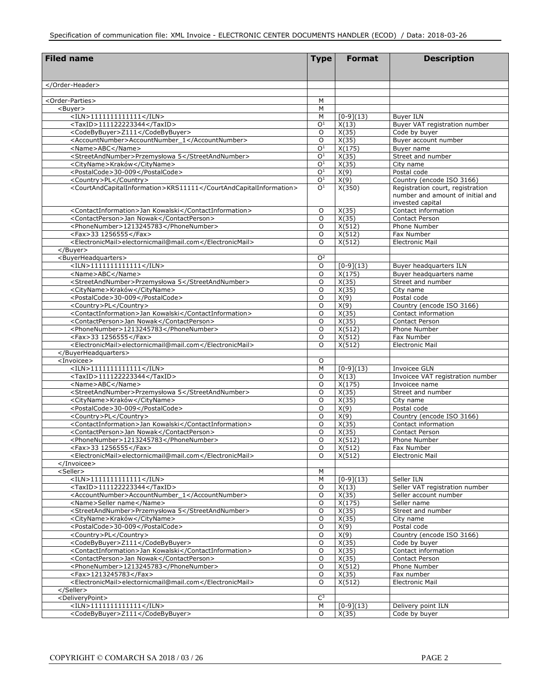| <b>Filed name</b>                                                                  | <b>Type</b>      | <b>Format</b>                     | <b>Description</b>                                                                       |
|------------------------------------------------------------------------------------|------------------|-----------------------------------|------------------------------------------------------------------------------------------|
|                                                                                    |                  |                                   |                                                                                          |
|                                                                                    |                  |                                   |                                                                                          |
|                                                                                    |                  |                                   |                                                                                          |
|                                                                                    |                  |                                   |                                                                                          |
| <order-parties></order-parties>                                                    | M                |                                   |                                                                                          |
| <buyer><br/><math>&lt;</math>ILN&gt;1111111111111</buyer>                          | M<br>M           |                                   |                                                                                          |
| <taxid>111122223344</taxid>                                                        | O <sup>1</sup>   | $[0-9](13)$<br>X(13)              | <b>Buyer ILN</b><br>Buyer VAT registration number                                        |
| <codebybuyer>Z111</codebybuyer>                                                    | O                | X(35)                             | Code by buyer                                                                            |
| <accountnumber>AccountNumber_1</accountnumber>                                     | O                | X(35)                             | Buyer account number                                                                     |
| <name>ABC</name>                                                                   | O <sup>1</sup>   | $\overline{X(175)}$               | Buyer name                                                                               |
| <streetandnumber>Przemysłowa 5</streetandnumber>                                   | O <sup>1</sup>   | X(35)                             | Street and number                                                                        |
| <cityname>Kraków</cityname>                                                        | O <sup>1</sup>   | X(35)                             | City name                                                                                |
| <postalcode>30-009</postalcode>                                                    | O <sup>1</sup>   | X(9)                              | Postal code                                                                              |
| <country>PL</country>                                                              | $\overline{O^1}$ | X(9)                              | Country (encode ISO 3166)                                                                |
| <courtandcapitalinformation>KRS11111</courtandcapitalinformation>                  | O <sup>1</sup>   | X(350)                            | Registration court, registration<br>number and amount of initial and<br>invested capital |
| <contactinformation>Jan Kowalski</contactinformation>                              | O                | X(35)                             | Contact information                                                                      |
| <contactperson>Jan Nowak</contactperson>                                           | $\circ$          | X(35)                             | <b>Contact Person</b>                                                                    |
| <phonenumber>1213245783</phonenumber>                                              | O                | X(512)                            | Phone Number                                                                             |
| <fax>33 1256555</fax>                                                              | O                | X(512)                            | Fax Number                                                                               |
| <electronicmail>electornicmail@mail.com</electronicmail>                           | O                | X(512)                            | <b>Electronic Mail</b>                                                                   |
|                                                                                    |                  |                                   |                                                                                          |
| <buyerheadquarters><br/><math>&lt;</math>ILN&gt;11111111111111</buyerheadquarters> | O <sup>2</sup>   |                                   |                                                                                          |
| <name>ABC</name>                                                                   | O<br>O           | $[0-9](13)$<br>X(175)             | Buyer headquarters ILN<br>Buyer headquarters name                                        |
| <streetandnumber>Przemysłowa 5</streetandnumber>                                   | O                | X(35)                             | Street and number                                                                        |
| <cityname>Kraków</cityname>                                                        | O                | X(35)                             | City name                                                                                |
| <postalcode>30-009</postalcode>                                                    | O                | X(9)                              | Postal code                                                                              |
| <country>PL</country>                                                              | O                | X(9)                              | Country (encode ISO 3166)                                                                |
| <contactinformation>Jan Kowalski</contactinformation>                              | O                | X(35)                             | Contact information                                                                      |
| <contactperson>Jan Nowak</contactperson>                                           | O                | X(35)                             | <b>Contact Person</b>                                                                    |
| <phonenumber>1213245783</phonenumber>                                              | O                | X(512)                            | <b>Phone Number</b>                                                                      |
| <fax>33 1256555</fax>                                                              | O                | X(512)                            | Fax Number                                                                               |
| <electronicmail>electornicmail@mail.com</electronicmail>                           | O                | X(512)                            | <b>Electronic Mail</b>                                                                   |
|                                                                                    |                  |                                   |                                                                                          |
| <invoicee></invoicee>                                                              | O                |                                   |                                                                                          |
| $<$ ILN>1111111111111<br>$<$ TaxID>111122223344 $<$ /TaxID>                        | M<br>O           | $[0-9](13)$<br>$\overline{X(13)}$ | Invoicee GLN<br>Invoicee VAT registration number                                         |
| <name>ABC</name>                                                                   | O                | X(175)                            | Invoicee name                                                                            |
| <streetandnumber>Przemysłowa 5</streetandnumber>                                   | O                | $\overline{X(35)}$                | Street and number                                                                        |
| <cityname>Kraków</cityname>                                                        | O                | X(35)                             | City name                                                                                |
| <postalcode>30-009</postalcode>                                                    | O                | X(9)                              | Postal code                                                                              |
| <country>PL</country>                                                              | O                | X(9)                              | Country (encode ISO 3166)                                                                |
| <contactinformation>Jan Kowalski</contactinformation>                              | O                | X(35)                             | Contact information                                                                      |
| <contactperson>Jan Nowak</contactperson>                                           | $\circ$          | X(35)                             | <b>Contact Person</b>                                                                    |
| <phonenumber>1213245783</phonenumber>                                              | $\Omega$         | X(512)                            | Phone Number                                                                             |
| <fax>33 1256555</fax>                                                              | O                | X(512)                            | Fax Number                                                                               |
| <electronicmail>electornicmail@mail.com</electronicmail>                           | $\circ$          | X(512)                            | <b>Electronic Mail</b>                                                                   |
| <br><seller></seller>                                                              | М                |                                   |                                                                                          |
| $<$ ILN>11111111111111                                                             | $\overline{M}$   | $[0-9](13)$                       | Seller ILN                                                                               |
| <taxid>111122223344</taxid>                                                        | O                | X(13)                             | Seller VAT registration number                                                           |
| <accountnumber>AccountNumber_1</accountnumber>                                     | O                | X(35)                             | Seller account number                                                                    |
| <name>Seller name</name>                                                           | O                | $\overline{X}(175)$               | Seller name                                                                              |
| <streetandnumber>Przemysłowa 5</streetandnumber>                                   | O                | X(35)                             | Street and number                                                                        |
| <cityname>Kraków</cityname>                                                        | O                | X(35)                             | City name                                                                                |
| <postalcode>30-009</postalcode>                                                    | O                | X(9)                              | Postal code                                                                              |
| <country>PL</country>                                                              | O                | X(9)                              | Country (encode ISO 3166)                                                                |
| <codebybuyer>Z111</codebybuyer>                                                    | O                | X(35)                             | Code by buyer                                                                            |
| <contactinformation>Jan Kowalski</contactinformation>                              | O                | X(35)                             | Contact information                                                                      |
| <contactperson>Jan Nowak</contactperson>                                           | O                | X(35)                             | Contact Person                                                                           |
| <phonenumber>1213245783</phonenumber>                                              | O                | X(512)                            | Phone Number                                                                             |
| <fax>1213245783</fax><br><electronicmail>electornicmail@mail.com</electronicmail>  | O<br>O           | X(35)                             | Fax number                                                                               |
|                                                                                    |                  | X(512)                            | <b>Electronic Mail</b>                                                                   |
| <deliverypoint></deliverypoint>                                                    | $\mathsf{C}^3$   |                                   |                                                                                          |
| $<$ ILN>1111111111111                                                              | M                | $[0-9](13)$                       | Delivery point ILN                                                                       |
| <codebybuyer>Z111</codebybuyer>                                                    | $\overline{0}$   | X(35)                             | Code by buyer                                                                            |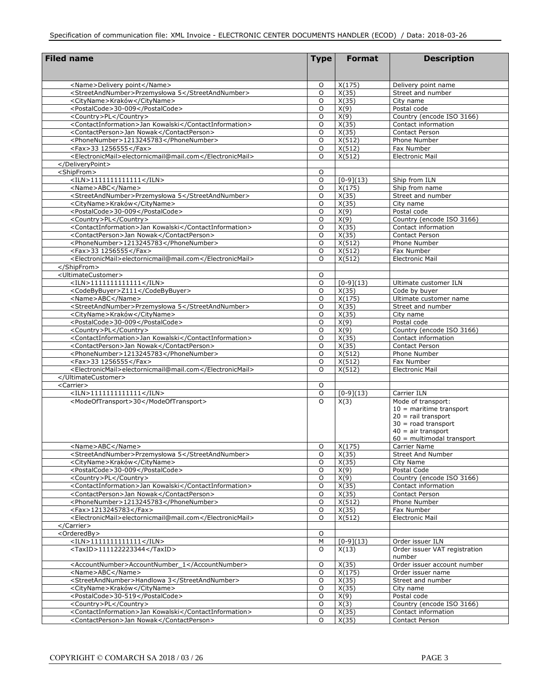| <b>Filed name</b>                                                                                 | <b>Type</b>        | <b>Format</b>       | <b>Description</b>                           |
|---------------------------------------------------------------------------------------------------|--------------------|---------------------|----------------------------------------------|
|                                                                                                   |                    |                     |                                              |
| <name>Delivery point</name>                                                                       | O                  | X(175)              | Delivery point name                          |
| <streetandnumber>Przemysłowa 5</streetandnumber>                                                  | O                  | X(35)               | Street and number                            |
| <cityname>Kraków</cityname>                                                                       | O                  | X(35)               | City name                                    |
| <postalcode>30-009</postalcode>                                                                   | O                  | X(9)                | Postal code                                  |
| <country>PL</country>                                                                             | O                  | X(9)                | Country (encode ISO 3166)                    |
| <contactinformation>Jan Kowalski</contactinformation><br><contactperson>Jan Nowak</contactperson> | O<br>O             | X(35)<br>X(35)      | Contact information<br><b>Contact Person</b> |
| <phonenumber>1213245783</phonenumber>                                                             | 0                  | $\overline{X(512)}$ | Phone Number                                 |
| <fax>33 1256555</fax>                                                                             | 0                  | X(512)              | Fax Number                                   |
| <electronicmail>electornicmail@mail.com</electronicmail>                                          | 0                  | X(512)              | <b>Electronic Mail</b>                       |
|                                                                                                   |                    |                     |                                              |
| <shipfrom></shipfrom>                                                                             | 0                  |                     |                                              |
| $<$ ILN>11111111111111                                                                            | O                  | $[0-9](13)$         | Ship from ILN                                |
| <name>ABC</name>                                                                                  | O                  | X(175)              | Ship from name                               |
| <streetandnumber>Przemysłowa 5</streetandnumber>                                                  | O                  | X(35)               | Street and number                            |
| <cityname>Kraków</cityname><br><postalcode>30-009</postalcode>                                    | 0<br>O             | X(35)<br>X(9)       | City name<br>Postal code                     |
| <country>PL</country>                                                                             | 0                  | X(9)                | Country (encode ISO 3166)                    |
| <contactinformation>Jan Kowalski</contactinformation>                                             | O                  | X(35)               | Contact information                          |
| <contactperson>Jan Nowak</contactperson>                                                          | $\circ$            | X(35)               | Contact Person                               |
| <phonenumber>1213245783</phonenumber>                                                             | $\circ$            | X(512)              | Phone Number                                 |
| <fax>33 1256555</fax>                                                                             | $\circ$            | X(512)              | Fax Number                                   |
| <electronicmail>electornicmail@mail.com</electronicmail>                                          | $\circ$            | X(512)              | <b>Electronic Mail</b>                       |
|                                                                                                   |                    |                     |                                              |
| <ultimatecustomer></ultimatecustomer>                                                             | $\circ$            |                     |                                              |
| $<$ ILN>1111111111111                                                                             | $\circ$            | $[0-9](13)$         | Ultimate customer ILN                        |
| <codebybuyer>Z111</codebybuyer>                                                                   | $\circ$            | X(35)               | Code by buyer                                |
| <name>ABC</name><br><streetandnumber>Przemysłowa 5</streetandnumber>                              | $\circ$<br>$\circ$ | X(175)<br>X(35)     | Ultimate customer name<br>Street and number  |
| <cityname>Kraków</cityname>                                                                       | $\circ$            | X(35)               | City name                                    |
| <postalcode>30-009</postalcode>                                                                   | $\circ$            | X(9)                | Postal code                                  |
| <country>PL</country>                                                                             | $\circ$            | X(9)                | Country (encode ISO 3166)                    |
| <contactinformation>Jan Kowalski</contactinformation>                                             | $\circ$            | X(35)               | Contact information                          |
| <contactperson>Jan Nowak</contactperson>                                                          | $\circ$            | X(35)               | <b>Contact Person</b>                        |
| <phonenumber>1213245783</phonenumber>                                                             | $\circ$            | X(512)              | Phone Number                                 |
| <fax>33 1256555</fax>                                                                             | $\circ$            | X(512)              | Fax Number                                   |
| <electronicmail>electornicmail@mail.com</electronicmail>                                          | $\circ$            | X(512)              | <b>Electronic Mail</b>                       |
|                                                                                                   |                    |                     |                                              |
| <carrier><br/><math>&lt;</math>ILN&gt;1111111111111</carrier>                                     | $\circ$<br>O       | $[0-9](13)$         | Carrier ILN                                  |
| <modeoftransport>30</modeoftransport>                                                             | $\Omega$           | X(3)                | Mode of transport:                           |
|                                                                                                   |                    |                     | $10$ = maritime transport                    |
|                                                                                                   |                    |                     | $20 =$ rail transport                        |
|                                                                                                   |                    |                     | $30 =$ road transport                        |
|                                                                                                   |                    |                     | $40 =$ air transport                         |
|                                                                                                   |                    |                     | $60$ = multimodal transport                  |
| <name>ABC</name><br><streetandnumber>Przemysłowa 5</streetandnumber>                              | 0<br>O             | X(175)<br>X(35)     | Carrier Name<br><b>Street And Number</b>     |
| <cityname>Kraków</cityname>                                                                       | O                  | X(35)               | City Name                                    |
| <postalcode>30-009</postalcode>                                                                   | O                  | X(9)                | Postal Code                                  |
| <country>PL</country>                                                                             | O                  | X(9)                | Country (encode ISO 3166)                    |
| <contactinformation>Jan Kowalski</contactinformation>                                             | O                  | X(35)               | Contact information                          |
| <contactperson>Jan Nowak</contactperson>                                                          | O                  | X(35)               | Contact Person                               |
| <phonenumber>1213245783</phonenumber>                                                             | O                  | X(512)              | Phone Number                                 |
| <fax>1213245783</fax>                                                                             | O                  | X(35)               | Fax Number                                   |
| <electronicmail>electornicmail@mail.com</electronicmail>                                          | O                  | X(512)              | <b>Electronic Mail</b>                       |
|                                                                                                   |                    |                     |                                              |
| <orderedby><br/><math>&lt;</math>ILN&gt;1111111111111</orderedby>                                 | O<br>М             | $[0-9](13)$         | Order issuer ILN                             |
| <taxid>111122223344</taxid>                                                                       | O                  | $\overline{X(13)}$  | Order issuer VAT registration                |
|                                                                                                   |                    |                     | number                                       |
| <accountnumber>AccountNumber_1</accountnumber>                                                    | O                  | X(35)               | Order issuer account number                  |
| <name>ABC</name>                                                                                  | O                  | X(175)              | Order issuer name                            |
| <streetandnumber>Handlowa 3</streetandnumber>                                                     | O                  | X(35)               | Street and number                            |
| <cityname>Kraków</cityname>                                                                       | O                  | X(35)               | City name                                    |
| <postalcode>30-519</postalcode>                                                                   | O                  | X(9)                | Postal code                                  |
| <country>PL</country>                                                                             | O                  | X(3)                | Country (encode ISO 3166)                    |
| <contactinformation>Jan Kowalski</contactinformation>                                             | O                  | X(35)               | Contact information                          |
| <contactperson>Jan Nowak</contactperson>                                                          | O                  | X(35)               | Contact Person                               |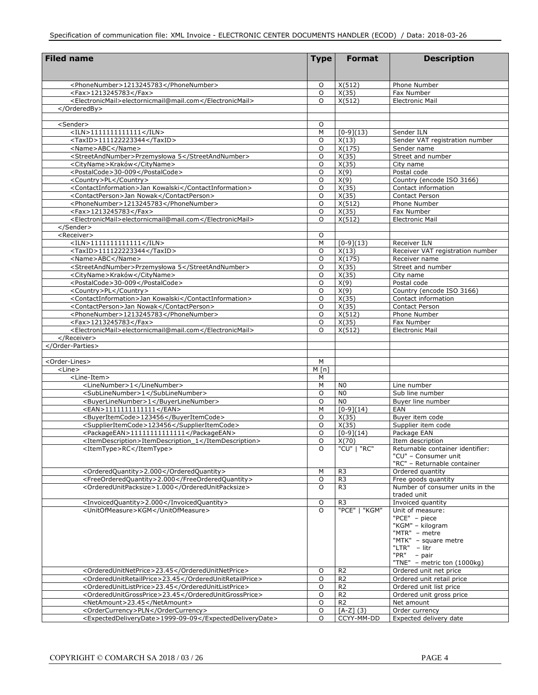| <b>Filed name</b>                                                                 | <b>Type</b>  | <b>Format</b>                | <b>Description</b>                                   |
|-----------------------------------------------------------------------------------|--------------|------------------------------|------------------------------------------------------|
|                                                                                   |              |                              |                                                      |
|                                                                                   |              |                              |                                                      |
| <phonenumber>1213245783</phonenumber><br><fax>1213245783</fax>                    | O<br>$\circ$ | X(512)<br>X(35)              | Phone Number<br>Fax Number                           |
| <electronicmail>electornicmail@mail.com</electronicmail>                          | $\circ$      | X(512)                       | <b>Electronic Mail</b>                               |
|                                                                                   |              |                              |                                                      |
|                                                                                   |              |                              |                                                      |
| <sender></sender>                                                                 | $\circ$      |                              |                                                      |
| $<$ ILN>11111111111111                                                            | M            | $[0-9](13)$                  | Sender ILN                                           |
| <taxid>111122223344</taxid>                                                       | $\circ$      | X(13)                        | Sender VAT registration number                       |
| <name>ABC</name>                                                                  | $\circ$      | X(175)                       | Sender name                                          |
| <streetandnumber>Przemysłowa 5</streetandnumber>                                  | $\circ$      | X(35)                        | Street and number                                    |
| <cityname>Kraków</cityname>                                                       | $\circ$      | X(35)                        | City name                                            |
| <postalcode>30-009</postalcode>                                                   | $\circ$      | X(9)                         | Postal code                                          |
| <country>PL</country>                                                             | $\circ$      | X(9)                         | Country (encode ISO 3166)                            |
| <contactinformation>Jan Kowalski</contactinformation>                             | $\circ$      | $\overline{X(35)}$           | Contact information                                  |
| <contactperson>Jan Nowak</contactperson><br><phonenumber>1213245783</phonenumber> | $\circ$<br>O | $\overline{X(35)}$<br>X(512) | Contact Person<br>Phone Number                       |
| <fax>1213245783</fax>                                                             | O            | X(35)                        | Fax Number                                           |
| <electronicmail>electornicmail@mail.com</electronicmail>                          | $\Omega$     | X(512)                       | <b>Electronic Mail</b>                               |
|                                                                                   |              |                              |                                                      |
| <receiver></receiver>                                                             | O            |                              |                                                      |
| $<$ ILN>1111111111111                                                             | M            | $[0-9](13)$                  | Receiver ILN                                         |
| <taxid>111122223344</taxid>                                                       | O            | X(13)                        | Receiver VAT registration number                     |
| <name>ABC</name>                                                                  | $\circ$      | X(175)                       | Receiver name                                        |
| <streetandnumber>Przemysłowa 5</streetandnumber>                                  | $\circ$      | X(35)                        | Street and number                                    |
| <cityname>Kraków</cityname>                                                       | O            | X(35)                        | City name                                            |
| <postalcode>30-009</postalcode>                                                   | $\circ$      | X(9)                         | Postal code                                          |
| <country>PL</country>                                                             | O            | X(9)                         | Country (encode ISO 3166)                            |
| <contactinformation>Jan Kowalski</contactinformation>                             | $\circ$      | X(35)                        | Contact information                                  |
| <contactperson>Jan Nowak</contactperson>                                          | O            | X(35)                        | Contact Person                                       |
| <phonenumber>1213245783</phonenumber>                                             | $\circ$      | X(512)                       | Phone Number                                         |
| <fax>1213245783</fax>                                                             | O            | X(35)                        | Fax Number                                           |
| <electronicmail>electornicmail@mail.com</electronicmail><br>                      | O            | X(512)                       | <b>Electronic Mail</b>                               |
|                                                                                   |              |                              |                                                      |
|                                                                                   |              |                              |                                                      |
| <order-lines></order-lines>                                                       | M            |                              |                                                      |
| <line></line>                                                                     | M[n]         |                              |                                                      |
| <line-item></line-item>                                                           | М            |                              |                                                      |
| <linenumber>1</linenumber>                                                        | М            | N <sub>0</sub>               | Line number                                          |
| <sublinenumber>1</sublinenumber>                                                  | $\circ$      | N <sub>0</sub>               | Sub line number                                      |
| <buyerlinenumber>1</buyerlinenumber>                                              | $\circ$      | N <sub>0</sub>               | Buyer line number                                    |
| <ean>1111111111111</ean>                                                          | M            | $[0-9](14)$                  | EAN                                                  |
| <buyeritemcode>123456</buyeritemcode>                                             | O            | X(35)                        | Buyer item code                                      |
| <supplieritemcode>123456</supplieritemcode>                                       | O            | X(35)                        | Supplier item code                                   |
| <packageean>11111111111111</packageean>                                           | O<br>O       | $[0-9](14)$<br>X(70)         | Package EAN                                          |
| <itemdescription>ItemDescription_1</itemdescription><br><itemtype>RC</itemtype>   | O            | "CU"   "RC"                  | Item description<br>Returnable container identifier: |
|                                                                                   |              |                              | "CU" - Consumer unit                                 |
|                                                                                   |              |                              | "RC" - Returnable container                          |
| <orderedquantity>2.000</orderedquantity>                                          | М            | R <sub>3</sub>               | Ordered quantity                                     |
| <freeorderedquantity>2.000</freeorderedquantity>                                  | O            | R <sub>3</sub>               | Free goods quantity                                  |
| <orderedunitpacksize>1.000</orderedunitpacksize>                                  | O            | R <sub>3</sub>               | Number of consumer units in the                      |
|                                                                                   |              |                              | traded unit                                          |
| <invoicedquantity>2.000</invoicedquantity>                                        | O            | R <sub>3</sub>               | Invoiced quantity                                    |
| <unitofmeasure>KGM</unitofmeasure>                                                | O            | "PCE"   "KGM"                | Unit of measure:                                     |
|                                                                                   |              |                              | "PCE" - piece                                        |
|                                                                                   |              |                              | "KGM" - kilogram                                     |
|                                                                                   |              |                              | "MTR" - metre<br>"MTK" - square metre                |
|                                                                                   |              |                              | "LTR" - litr                                         |
|                                                                                   |              |                              | "PR" - pair                                          |
|                                                                                   |              |                              | "TNE" - metric ton (1000kg)                          |
| <orderedunitnetprice>23.45</orderedunitnetprice>                                  | 0            | R <sub>2</sub>               | Ordered unit net price                               |
| <orderedunitretailprice>23.45</orderedunitretailprice>                            | O            | R <sub>2</sub>               | Ordered unit retail price                            |
| <orderedunitlistprice>23.45</orderedunitlistprice>                                | 0            | R <sub>2</sub>               | Ordered unit list price                              |
| <orderedunitgrossprice>23.45</orderedunitgrossprice>                              | O            | R <sub>2</sub>               | Ordered unit gross price                             |
| <netamount>23.45</netamount>                                                      | O            | R <sub>2</sub>               | Net amount                                           |
| <ordercurrency>PLN</ordercurrency>                                                | O            | $[A-Z] (3)$                  | Order currency                                       |
| <expecteddeliverydate>1999-09-09</expecteddeliverydate>                           | 0            | CCYY-MM-DD                   | Expected delivery date                               |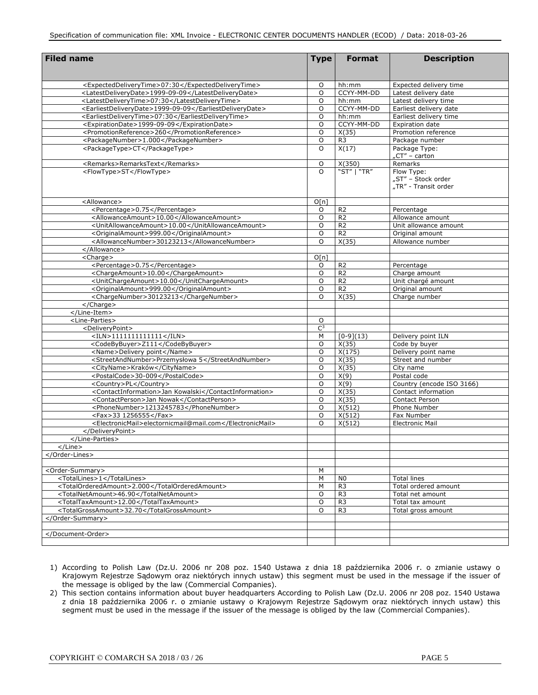| <b>Filed name</b>                                                               | <b>Type</b>    | <b>Format</b>  | <b>Description</b>                               |
|---------------------------------------------------------------------------------|----------------|----------------|--------------------------------------------------|
|                                                                                 |                |                |                                                  |
| <expecteddeliverytime>07:30</expecteddeliverytime>                              | O              | hh:mm          | Expected delivery time                           |
| <latestdeliverydate>1999-09-09</latestdeliverydate>                             | O              | CCYY-MM-DD     | Latest delivery date                             |
| <latestdeliverytime>07:30</latestdeliverytime>                                  | O              | hh:mm          | Latest delivery time                             |
| <earliestdelivervdate>1999-09-09</earliestdelivervdate>                         | O              | CCYY-MM-DD     | Earliest delivery date                           |
| <earliestdeliverytime>07:30</earliestdeliverytime>                              | O              | hh:mm          | Earliest delivery time                           |
| <expirationdate>1999-09-09</expirationdate>                                     | O              | CCYY-MM-DD     | Expiration date                                  |
| <promotionreference>260</promotionreference>                                    | $\circ$        | X(35)          | Promotion reference                              |
| <packagenumber>1.000</packagenumber>                                            | $\circ$        | R <sub>3</sub> | Package number                                   |
| <packagetype>CT</packagetype>                                                   | $\circ$        | X(17)          | Package Type:<br>$nCT'' -$ carton                |
| <remarks>RemarksText</remarks>                                                  | 0              | X(350)         | Remarks                                          |
| <flowtype>ST</flowtype>                                                         | $\Omega$       | "ST"   "TR"    | Flow Type:                                       |
|                                                                                 |                |                | "ST" – Stock order                               |
|                                                                                 |                |                | "TR" - Transit order                             |
| <allowance></allowance>                                                         | O[n]           |                |                                                  |
| <percentage>0.75</percentage>                                                   | 0              | R <sub>2</sub> | Percentage                                       |
| <allowanceamount>10.00</allowanceamount>                                        | O              | R <sub>2</sub> | Allowance amount                                 |
| <unitallowanceamount>10.00</unitallowanceamount>                                | $\circ$        | R <sub>2</sub> | Unit allowance amount                            |
| <originalamount>999.00</originalamount>                                         | O              | R <sub>2</sub> | Original amount                                  |
| <allowancenumber>30123213</allowancenumber>                                     | $\Omega$       | X(35)          | Allowance number                                 |
|                                                                                 |                |                |                                                  |
| <charge></charge>                                                               | O[n]           |                |                                                  |
| <percentage>0.75</percentage>                                                   | 0              | R <sub>2</sub> | Percentage                                       |
| <chargeamount>10.00</chargeamount>                                              | O              | R <sub>2</sub> | Charge amount                                    |
| <unitchargeamount>10.00</unitchargeamount>                                      | O              | R <sub>2</sub> | Unit chargé amount                               |
| <originalamount>999.00</originalamount>                                         | $\circ$        | R <sub>2</sub> | Original amount                                  |
| <chargenumber>30123213</chargenumber>                                           | O              | X(35)          | Charge number                                    |
|                                                                                 |                |                |                                                  |
|                                                                                 |                |                |                                                  |
| <line-parties></line-parties>                                                   | O              |                |                                                  |
| <deliverypoint></deliverypoint>                                                 | C <sup>3</sup> |                |                                                  |
| $<$ ILN>1111111111111                                                           | М              | $[0-9](13)$    | Delivery point ILN                               |
| <codebybuyer>Z111</codebybuyer>                                                 | O              | X(35)          | Code by buyer                                    |
| <name>Delivery point</name>                                                     | $\circ$        | X(175)         | Delivery point name                              |
| <streetandnumber>Przemysłowa 5</streetandnumber><br><cityname>Kraków</cityname> | O              | X(35)          | Street and number                                |
|                                                                                 | $\circ$        | X(35)          | City name                                        |
| <postalcode>30-009</postalcode>                                                 | O<br>$\circ$   | X(9)<br>X(9)   | Postal code                                      |
| <country>PL</country><br><contactinformation>Jan Kowalski</contactinformation>  | O              | X(35)          | Country (encode ISO 3166)<br>Contact information |
| <contactperson>Jan Nowak</contactperson>                                        | $\circ$        | X(35)          | <b>Contact Person</b>                            |
| <phonenumber>1213245783</phonenumber>                                           | O              | X(512)         | Phone Number                                     |
| <fax>33 1256555</fax>                                                           | $\circ$        | X(512)         | Fax Number                                       |
| <electronicmail>electornicmail@mail.com</electronicmail>                        | O              | X(512)         | <b>Electronic Mail</b>                           |
|                                                                                 |                |                |                                                  |
|                                                                                 |                |                |                                                  |
| $<$ /Line>                                                                      |                |                |                                                  |
|                                                                                 |                |                |                                                  |
|                                                                                 |                |                |                                                  |
| <order-summary></order-summary>                                                 | М              |                |                                                  |
| <totallines>1</totallines>                                                      | M              | N <sub>0</sub> | <b>Total lines</b>                               |
| <totalorderedamount>2.000</totalorderedamount>                                  | М              | R <sub>3</sub> | Total ordered amount                             |
| <totalnetamount>46.90</totalnetamount>                                          | O              | R <sub>3</sub> | Total net amount                                 |
| <totaltaxamount>12.00</totaltaxamount>                                          | O              | R <sub>3</sub> | Total tax amount                                 |
| <totalgrossamount>32.70</totalgrossamount>                                      | O              | R <sub>3</sub> | Total gross amount                               |
|                                                                                 |                |                |                                                  |
|                                                                                 |                |                |                                                  |
|                                                                                 |                |                |                                                  |
|                                                                                 |                |                |                                                  |

- 1) According to Polish Law (Dz.U. 2006 nr 208 poz. 1540 Ustawa z dnia 18 października 2006 r. o zmianie ustawy o Krajowym Rejestrze Sądowym oraz niektórych innych ustaw) this segment must be used in the message if the issuer of the message is obliged by the law (Commercial Companies).
- 2) This section contains information about buyer headquarters According to Polish Law (Dz.U. 2006 nr 208 poz. 1540 Ustawa z dnia 18 października 2006 r. o zmianie ustawy o Krajowym Rejestrze Sądowym oraz niektórych innych ustaw) this segment must be used in the message if the issuer of the message is obliged by the law (Commercial Companies).